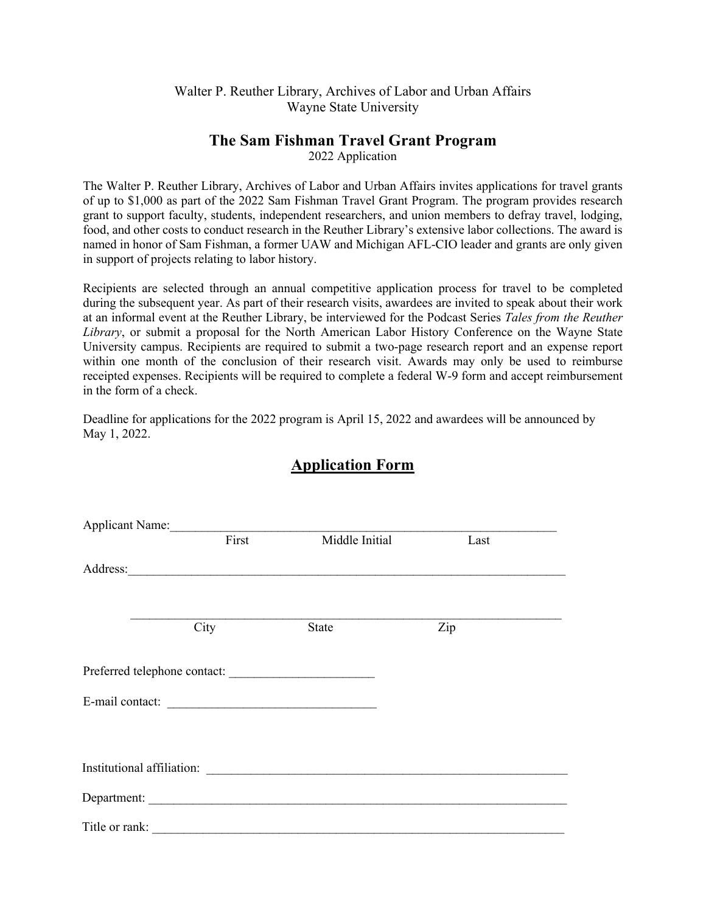### Walter P. Reuther Library, Archives of Labor and Urban Affairs Wayne State University

## **The Sam Fishman Travel Grant Program**

2022 Application

The Walter P. Reuther Library, Archives of Labor and Urban Affairs invites applications for travel grants of up to \$1,000 as part of the 2022 Sam Fishman Travel Grant Program. The program provides research grant to support faculty, students, independent researchers, and union members to defray travel, lodging, food, and other costs to conduct research in the Reuther Library's extensive labor collections. The award is named in honor of Sam Fishman, a former UAW and Michigan AFL-CIO leader and grants are only given in support of projects relating to labor history.

Recipients are selected through an annual competitive application process for travel to be completed during the subsequent year. As part of their research visits, awardees are invited to speak about their work at an informal event at the Reuther Library, be interviewed for the Podcast Series *Tales from the Reuther Library*, or submit a proposal for the North American Labor History Conference on the Wayne State University campus. Recipients are required to submit a two-page research report and an expense report within one month of the conclusion of their research visit. Awards may only be used to reimburse receipted expenses. Recipients will be required to complete a federal W-9 form and accept reimbursement in the form of a check.

Deadline for applications for the 2022 program is April 15, 2022 and awardees will be announced by May 1, 2022.

| Applicant Name:            |       |                |      |  |
|----------------------------|-------|----------------|------|--|
|                            | First | Middle Initial | Last |  |
| Address:                   |       |                |      |  |
| City                       |       | State          | Zip  |  |
|                            |       |                |      |  |
|                            |       |                |      |  |
| Institutional affiliation: |       |                |      |  |
|                            |       |                |      |  |
| Title or rank:             |       |                |      |  |

# **Application Form**